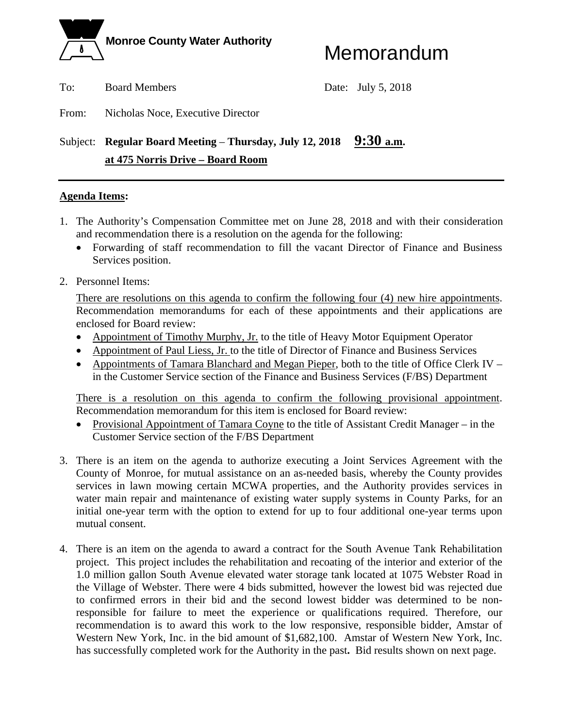

To: Board Members Date: July 5, 2018

From: Nicholas Noce, Executive Director

# Subject: **Regular Board Meeting – Thursday, July 12, 2018** 9:30 a.m.  **at 475 Norris Drive – Board Room**

# **Agenda Items:**

- 1. The Authority's Compensation Committee met on June 28, 2018 and with their consideration and recommendation there is a resolution on the agenda for the following:
	- Forwarding of staff recommendation to fill the vacant Director of Finance and Business Services position.
- 2. Personnel Items:

There are resolutions on this agenda to confirm the following four (4) new hire appointments. Recommendation memorandums for each of these appointments and their applications are enclosed for Board review:

- Appointment of Timothy Murphy, Jr. to the title of Heavy Motor Equipment Operator
- Appointment of Paul Liess, Jr. to the title of Director of Finance and Business Services
- Appointments of Tamara Blanchard and Megan Pieper, both to the title of Office Clerk IV in the Customer Service section of the Finance and Business Services (F/BS) Department

There is a resolution on this agenda to confirm the following provisional appointment. Recommendation memorandum for this item is enclosed for Board review:

- Provisional Appointment of Tamara Coyne to the title of Assistant Credit Manager in the Customer Service section of the F/BS Department
- 3. There is an item on the agenda to authorize executing a Joint Services Agreement with the County of Monroe, for mutual assistance on an as-needed basis, whereby the County provides services in lawn mowing certain MCWA properties, and the Authority provides services in water main repair and maintenance of existing water supply systems in County Parks, for an initial one-year term with the option to extend for up to four additional one-year terms upon mutual consent.
- 4. There is an item on the agenda to award a contract for the South Avenue Tank Rehabilitation project. This project includes the rehabilitation and recoating of the interior and exterior of the 1.0 million gallon South Avenue elevated water storage tank located at 1075 Webster Road in the Village of Webster. There were 4 bids submitted, however the lowest bid was rejected due to confirmed errors in their bid and the second lowest bidder was determined to be nonresponsible for failure to meet the experience or qualifications required. Therefore, our recommendation is to award this work to the low responsive, responsible bidder, Amstar of Western New York, Inc. in the bid amount of \$1,682,100. Amstar of Western New York, Inc. has successfully completed work for the Authority in the past**.** Bid results shown on next page.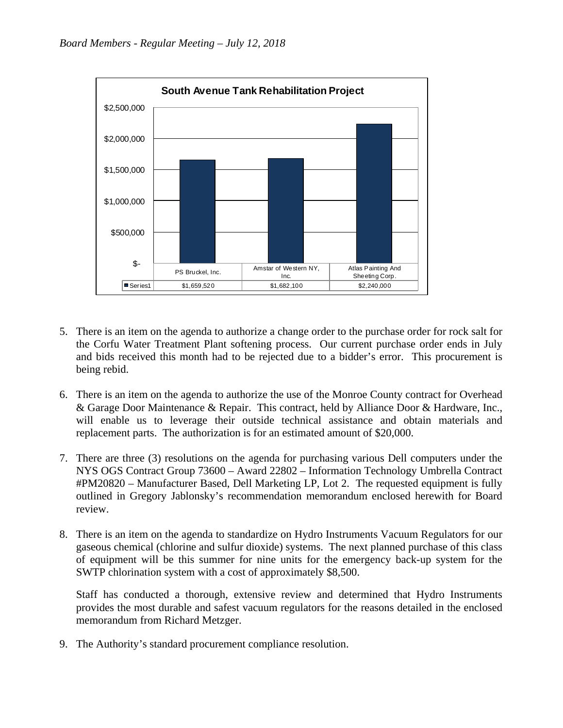

- 5. There is an item on the agenda to authorize a change order to the purchase order for rock salt for the Corfu Water Treatment Plant softening process. Our current purchase order ends in July and bids received this month had to be rejected due to a bidder's error. This procurement is being rebid.
- 6. There is an item on the agenda to authorize the use of the Monroe County contract for Overhead & Garage Door Maintenance & Repair. This contract, held by Alliance Door & Hardware, Inc., will enable us to leverage their outside technical assistance and obtain materials and replacement parts. The authorization is for an estimated amount of \$20,000.
- 7. There are three (3) resolutions on the agenda for purchasing various Dell computers under the NYS OGS Contract Group 73600 – Award 22802 – Information Technology Umbrella Contract #PM20820 – Manufacturer Based, Dell Marketing LP, Lot 2. The requested equipment is fully outlined in Gregory Jablonsky's recommendation memorandum enclosed herewith for Board review.
- 8. There is an item on the agenda to standardize on Hydro Instruments Vacuum Regulators for our gaseous chemical (chlorine and sulfur dioxide) systems. The next planned purchase of this class of equipment will be this summer for nine units for the emergency back-up system for the SWTP chlorination system with a cost of approximately \$8,500.

Staff has conducted a thorough, extensive review and determined that Hydro Instruments provides the most durable and safest vacuum regulators for the reasons detailed in the enclosed memorandum from Richard Metzger.

9. The Authority's standard procurement compliance resolution.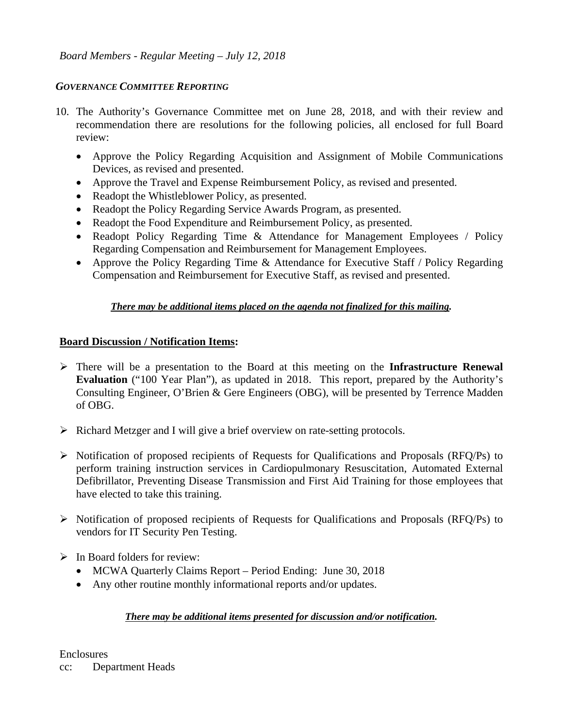# *GOVERNANCE COMMITTEE REPORTING*

- 10. The Authority's Governance Committee met on June 28, 2018, and with their review and recommendation there are resolutions for the following policies, all enclosed for full Board review:
	- Approve the Policy Regarding Acquisition and Assignment of Mobile Communications Devices, as revised and presented.
	- Approve the Travel and Expense Reimbursement Policy, as revised and presented.
	- Readopt the Whistleblower Policy, as presented.
	- Readopt the Policy Regarding Service Awards Program, as presented.
	- Readopt the Food Expenditure and Reimbursement Policy, as presented.
	- Readopt Policy Regarding Time & Attendance for Management Employees / Policy Regarding Compensation and Reimbursement for Management Employees.
	- Approve the Policy Regarding Time & Attendance for Executive Staff / Policy Regarding Compensation and Reimbursement for Executive Staff, as revised and presented.

# *There may be additional items placed on the agenda not finalized for this mailing.*

### **Board Discussion / Notification Items:**

- There will be a presentation to the Board at this meeting on the **Infrastructure Renewal Evaluation** ("100 Year Plan"), as updated in 2018. This report, prepared by the Authority's Consulting Engineer, O'Brien & Gere Engineers (OBG), will be presented by Terrence Madden of OBG.
- $\triangleright$  Richard Metzger and I will give a brief overview on rate-setting protocols.
- $\triangleright$  Notification of proposed recipients of Requests for Qualifications and Proposals (RFQ/Ps) to perform training instruction services in Cardiopulmonary Resuscitation, Automated External Defibrillator, Preventing Disease Transmission and First Aid Training for those employees that have elected to take this training.
- $\triangleright$  Notification of proposed recipients of Requests for Qualifications and Proposals (RFQ/Ps) to vendors for IT Security Pen Testing.
- $\triangleright$  In Board folders for review:
	- MCWA Quarterly Claims Report Period Ending: June 30, 2018
	- Any other routine monthly informational reports and/or updates.

# *There may be additional items presented for discussion and/or notification.*

**Enclosures** cc: Department Heads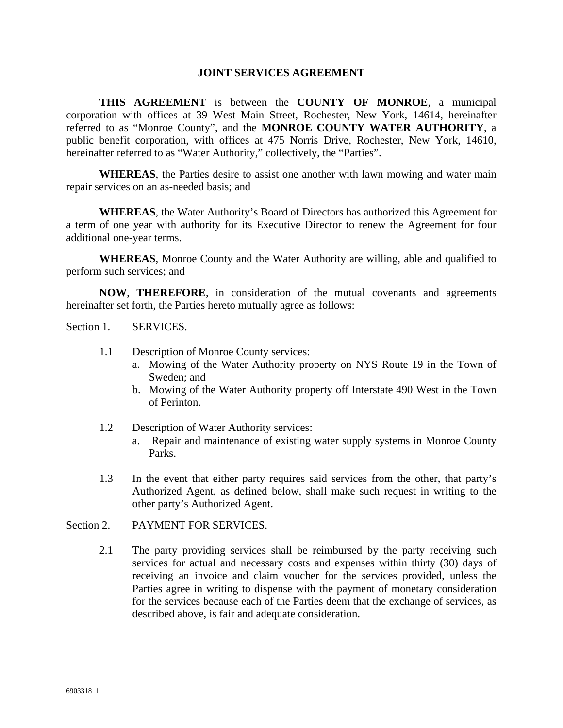#### **JOINT SERVICES AGREEMENT**

**THIS AGREEMENT** is between the **COUNTY OF MONROE**, a municipal corporation with offices at 39 West Main Street, Rochester, New York, 14614, hereinafter referred to as "Monroe County", and the **MONROE COUNTY WATER AUTHORITY**, a public benefit corporation, with offices at 475 Norris Drive, Rochester, New York, 14610, hereinafter referred to as "Water Authority," collectively, the "Parties".

**WHEREAS**, the Parties desire to assist one another with lawn mowing and water main repair services on an as-needed basis; and

**WHEREAS**, the Water Authority's Board of Directors has authorized this Agreement for a term of one year with authority for its Executive Director to renew the Agreement for four additional one-year terms.

**WHEREAS**, Monroe County and the Water Authority are willing, able and qualified to perform such services; and  $\overline{a}$ 

 **NOW**, **THEREFORE**, in consideration of the mutual covenants and agreements hereinafter set forth, the Parties hereto mutually agree as follows:

Section 1. SERVICES.

- 1.1 Description of Monroe County services:
	- a. Mowing of the Water Authority property on NYS Route 19 in the Town of Sweden; and
	- b. Mowing of the Water Authority property off Interstate 490 West in the Town of Perinton.
- 1.2 Description of Water Authority services:
	- a. Repair and maintenance of existing water supply systems in Monroe County Parks.
- 1.3 In the event that either party requires said services from the other, that party's Authorized Agent, as defined below, shall make such request in writing to the other party's Authorized Agent.

#### Section 2. PAYMENT FOR SERVICES.

2.1 The party providing services shall be reimbursed by the party receiving such services for actual and necessary costs and expenses within thirty (30) days of receiving an invoice and claim voucher for the services provided, unless the Parties agree in writing to dispense with the payment of monetary consideration for the services because each of the Parties deem that the exchange of services, as described above, is fair and adequate consideration.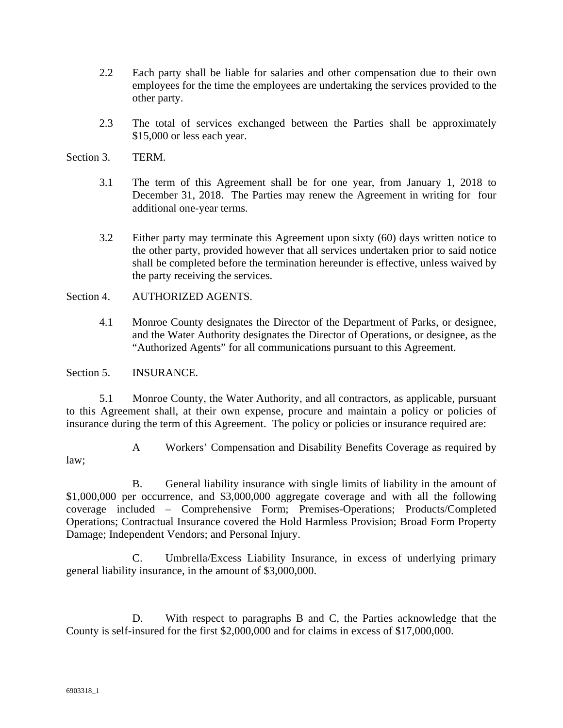- 2.2 Each party shall be liable for salaries and other compensation due to their own employees for the time the employees are undertaking the services provided to the other party.
- 2.3 The total of services exchanged between the Parties shall be approximately \$15,000 or less each year.
- Section 3. TERM.
	- 3.1 The term of this Agreement shall be for one year, from January 1, 2018 to December 31, 2018. The Parties may renew the Agreement in writing for four additional one-year terms.
	- 3.2 Either party may terminate this Agreement upon sixty (60) days written notice to the other party, provided however that all services undertaken prior to said notice shall be completed before the termination hereunder is effective, unless waived by the party receiving the services.

#### Section 4. AUTHORIZED AGENTS.

4.1 Monroe County designates the Director of the Department of Parks, or designee, and the Water Authority designates the Director of Operations, or designee, as the "Authorized Agents" for all communications pursuant to this Agreement.

Section 5. **INSURANCE.** 

5.1 Monroe County, the Water Authority, and all contractors, as applicable, pursuant to this Agreement shall, at their own expense, procure and maintain a policy or policies of insurance during the term of this Agreement. The policy or policies or insurance required are:

- 
- A Workers' Compensation and Disability Benefits Coverage as required by

law;

 B. General liability insurance with single limits of liability in the amount of \$1,000,000 per occurrence, and \$3,000,000 aggregate coverage and with all the following coverage included – Comprehensive Form; Premises-Operations; Products/Completed Operations; Contractual Insurance covered the Hold Harmless Provision; Broad Form Property Damage; Independent Vendors; and Personal Injury.

 C. Umbrella/Excess Liability Insurance, in excess of underlying primary general liability insurance, in the amount of \$3,000,000.

 D. With respect to paragraphs B and C, the Parties acknowledge that the County is self-insured for the first \$2,000,000 and for claims in excess of \$17,000,000.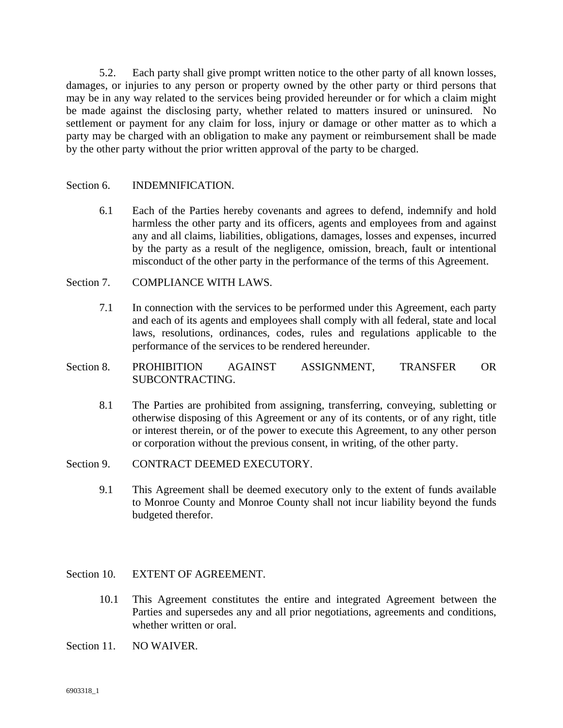5.2. Each party shall give prompt written notice to the other party of all known losses, damages, or injuries to any person or property owned by the other party or third persons that may be in any way related to the services being provided hereunder or for which a claim might be made against the disclosing party, whether related to matters insured or uninsured. No settlement or payment for any claim for loss, injury or damage or other matter as to which a party may be charged with an obligation to make any payment or reimbursement shall be made by the other party without the prior written approval of the party to be charged.

#### Section 6. **INDEMNIFICATION.**

6.1 Each of the Parties hereby covenants and agrees to defend, indemnify and hold harmless the other party and its officers, agents and employees from and against any and all claims, liabilities, obligations, damages, losses and expenses, incurred by the party as a result of the negligence, omission, breach, fault or intentional misconduct of the other party in the performance of the terms of this Agreement.

#### Section 7. COMPLIANCE WITH LAWS.

- 7.1 In connection with the services to be performed under this Agreement, each party and each of its agents and employees shall comply with all federal, state and local laws, resolutions, ordinances, codes, rules and regulations applicable to the performance of the services to be rendered hereunder.
- Section 8. PROHIBITION AGAINST ASSIGNMENT, TRANSFER OR SUBCONTRACTING.
	- 8.1 The Parties are prohibited from assigning, transferring, conveying, subletting or otherwise disposing of this Agreement or any of its contents, or of any right, title or interest therein, or of the power to execute this Agreement, to any other person or corporation without the previous consent, in writing, of the other party.
- Section 9. CONTRACT DEEMED EXECUTORY.
	- 9.1 This Agreement shall be deemed executory only to the extent of funds available to Monroe County and Monroe County shall not incur liability beyond the funds budgeted therefor.

#### Section 10. EXTENT OF AGREEMENT.

- 10.1 This Agreement constitutes the entire and integrated Agreement between the Parties and supersedes any and all prior negotiations, agreements and conditions, whether written or oral.
- Section 11. NO WAIVER.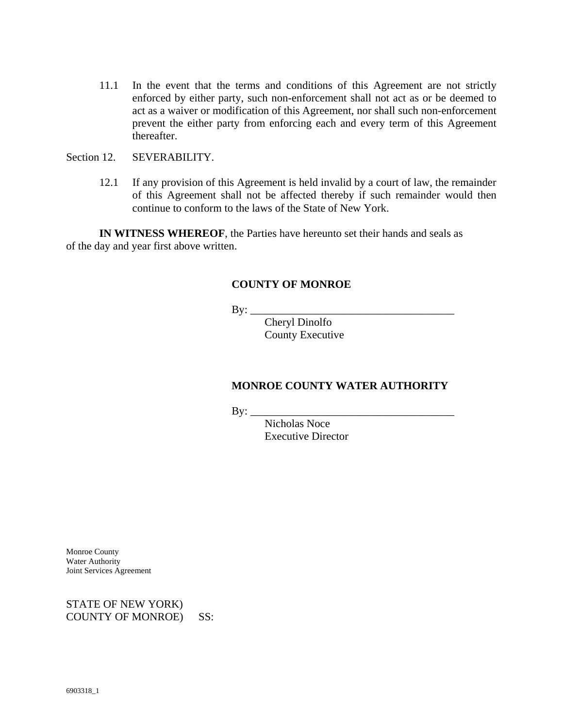- 11.1 In the event that the terms and conditions of this Agreement are not strictly enforced by either party, such non-enforcement shall not act as or be deemed to act as a waiver or modification of this Agreement, nor shall such non-enforcement prevent the either party from enforcing each and every term of this Agreement thereafter.
- Section 12. SEVERABILITY.
	- 12.1 If any provision of this Agreement is held invalid by a court of law, the remainder of this Agreement shall not be affected thereby if such remainder would then continue to conform to the laws of the State of New York.

**IN WITNESS WHEREOF**, the Parties have hereunto set their hands and seals as of the day and year first above written.

#### **COUNTY OF MONROE**

 $\mathbf{By:} \_\_$ 

 Cheryl Dinolfo County Executive

#### **MONROE COUNTY WATER AUTHORITY**

 $\mathbf{By:}$ 

 Nicholas Noce Executive Director

Monroe County Water Authority Joint Services Agreement

STATE OF NEW YORK) COUNTY OF MONROE) SS: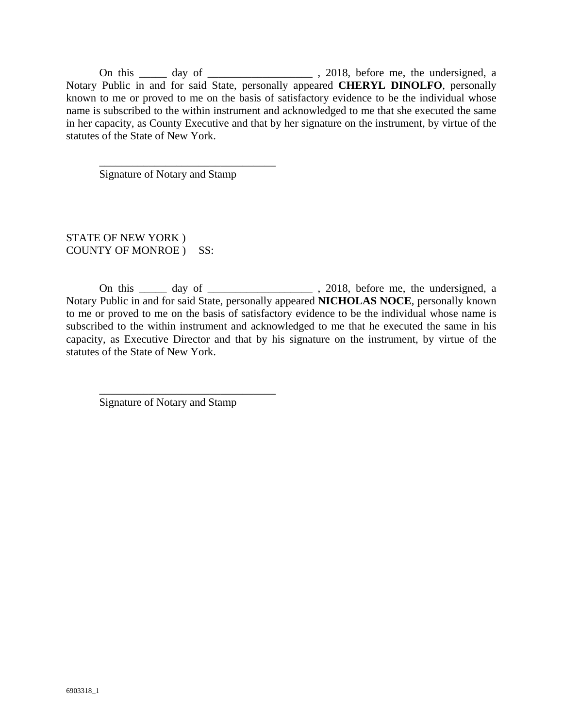On this \_\_\_\_\_ day of \_\_\_\_\_\_\_\_\_\_\_\_\_\_\_\_\_\_\_\_\_, 2018, before me, the undersigned, a Notary Public in and for said State, personally appeared **CHERYL DINOLFO**, personally known to me or proved to me on the basis of satisfactory evidence to be the individual whose name is subscribed to the within instrument and acknowledged to me that she executed the same in her capacity, as County Executive and that by her signature on the instrument, by virtue of the statutes of the State of New York.

Signature of Notary and Stamp

\_\_\_\_\_\_\_\_\_\_\_\_\_\_\_\_\_\_\_\_\_\_\_\_\_\_\_\_\_\_\_\_

STATE OF NEW YORK ) COUNTY OF MONROE ) SS:

On this \_\_\_\_\_ day of \_\_\_\_\_\_\_\_\_\_\_\_\_\_\_\_\_\_\_ , 2018, before me, the undersigned, a Notary Public in and for said State, personally appeared **NICHOLAS NOCE**, personally known to me or proved to me on the basis of satisfactory evidence to be the individual whose name is subscribed to the within instrument and acknowledged to me that he executed the same in his capacity, as Executive Director and that by his signature on the instrument, by virtue of the statutes of the State of New York.

Signature of Notary and Stamp

\_\_\_\_\_\_\_\_\_\_\_\_\_\_\_\_\_\_\_\_\_\_\_\_\_\_\_\_\_\_\_\_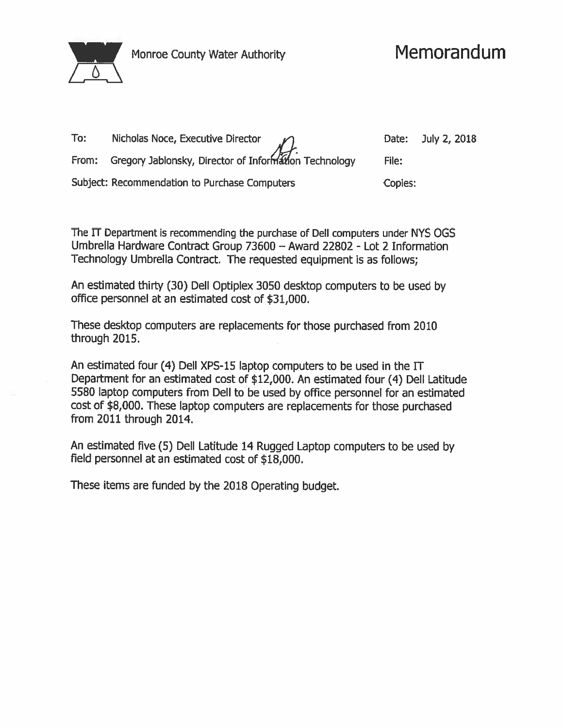

Monroe County Water Authority

| To: | Nicholas Noce, Executive Director $\mathscr{S}$             | Date:   | July 2, 2018 |
|-----|-------------------------------------------------------------|---------|--------------|
|     | From: Gregory Jablonsky, Director of Information Technology | File:   |              |
|     | Subject: Recommendation to Purchase Computers               | Copies: |              |

The IT Department is recommending the purchase of Dell computers under NYS OGS Umbrella Hardware Contract Group 73600 - Award 22802 - Lot 2 Information Technology Umbrella Contract. The requested equipment is as follows:

An estimated thirty (30) Dell Optiplex 3050 desktop computers to be used by office personnel at an estimated cost of \$31,000.

These desktop computers are replacements for those purchased from 2010 through 2015.

An estimated four (4) Dell XPS-15 laptop computers to be used in the IT Department for an estimated cost of \$12,000. An estimated four (4) Dell Latitude 5580 laptop computers from Dell to be used by office personnel for an estimated cost of \$8,000. These laptop computers are replacements for those purchased from 2011 through 2014.

An estimated five (5) Dell Latitude 14 Rugged Laptop computers to be used by field personnel at an estimated cost of \$18,000.

These items are funded by the 2018 Operating budget.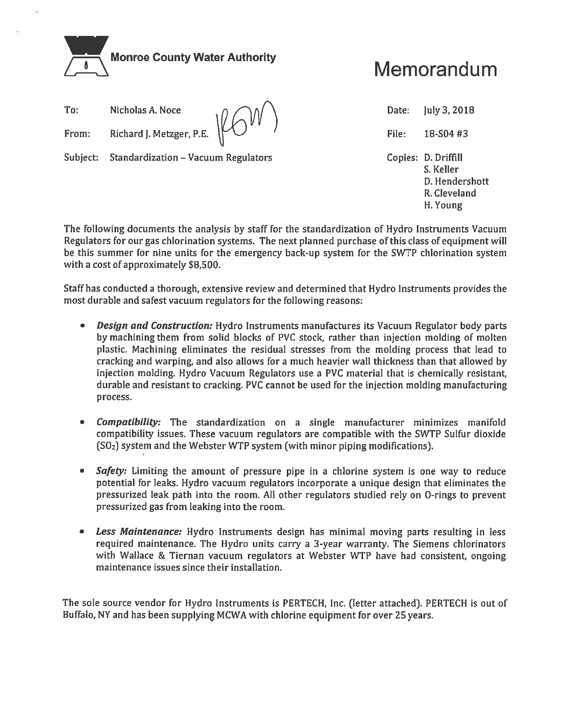

# Memorandum

| To:   |                                |  |
|-------|--------------------------------|--|
| From: | Richard J. Metzger, P.E. ILAW. |  |

Subject: Standardization - Vacuum Regulators

Date: July 3, 2018 File: 18-S04 #3 Copies: D. Driffill S. Keller D. Hendershott R. Cleveland H. Young

The following documents the analysis by staff for the standardization of Hydro Instruments Vacuum Regulators for our gas chlorination systems. The next planned purchase of this class of equipment will be this summer for nine units for the emergency back-up system for the SWTP chlorination system with a cost of approximately \$8,500.

Staff has conducted a thorough, extensive review and determined that Hydro Instruments provides the most durable and safest vacuum regulators for the following reasons:

- $\bullet$ **Design and Construction:** Hydro Instruments manufactures its Vacuum Regulator body parts by machining them from solid blocks of PVC stock, rather than injection molding of molten plastic. Machining eliminates the residual stresses from the molding process that lead to cracking and warping, and also allows for a much heavier wall thickness than that allowed by injection molding. Hydro Vacuum Regulators use a PVC material that is chemically resistant, durable and resistant to cracking. PVC cannot be used for the injection molding manufacturing process.
- **Compatibility:** The standardization on a single manufacturer minimizes manifold  $\bullet$ compatibility issues. These vacuum regulators are compatible with the SWTP Sulfur dioxide (SO<sub>2</sub>) system and the Webster WTP system (with minor piping modifications).
- Safety: Limiting the amount of pressure pipe in a chlorine system is one way to reduce  $\bullet$ potential for leaks. Hydro vacuum regulators incorporate a unique design that eliminates the pressurized leak path into the room. All other regulators studied rely on O-rings to prevent pressurized gas from leaking into the room.
- Less Maintenance: Hydro Instruments design has minimal moving parts resulting in less  $\bullet$ required maintenance. The Hydro units carry a 3-year warranty. The Siemens chlorinators with Wallace & Tiernan vacuum regulators at Webster WTP have had consistent, ongoing maintenance issues since their installation.

The sole source vendor for Hydro Instruments is PERTECH, Inc. (letter attached). PERTECH is out of Buffalo, NY and has been supplying MCWA with chlorine equipment for over 25 years.